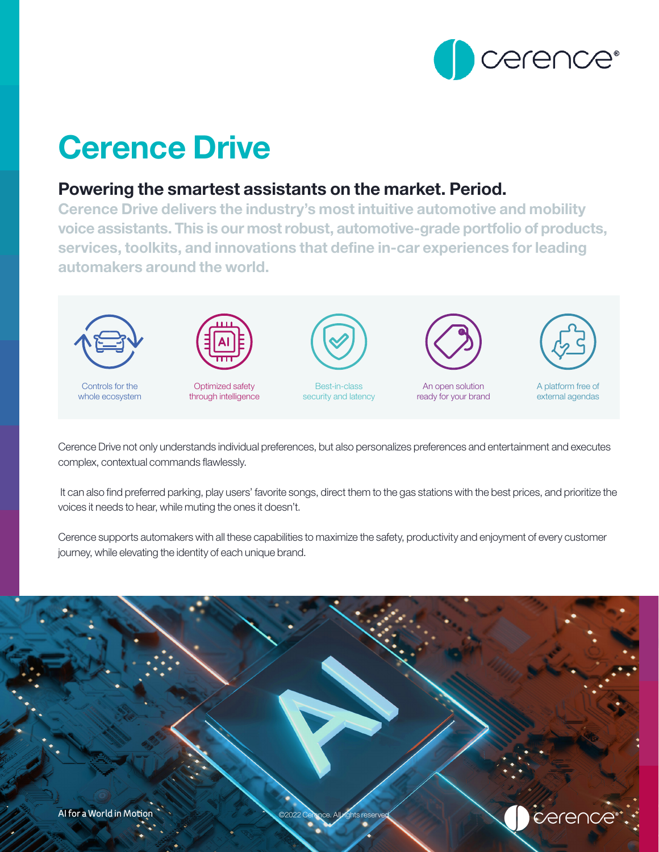

# Cerence Drive

# Powering the smartest assistants on the market. Period.

Cerence Drive delivers the industry's most intuitive automotive and mobility voice assistants. This is our most robust, automotive-grade portfolio of products, services, toolkits, and innovations that define in-car experiences for leading automakers around the world.



Cerence Drive not only understands individual preferences, but also personalizes preferences and entertainment and executes complex, contextual commands flawlessly.

 It can also find preferred parking, play users' favorite songs, direct them to the gas stations with the best prices, and prioritize the voices it needs to hear, while muting the ones it doesn't.

Cerence supports automakers with all these capabilities to maximize the safety, productivity and enjoyment of every customer journey, while elevating the identity of each unique brand.